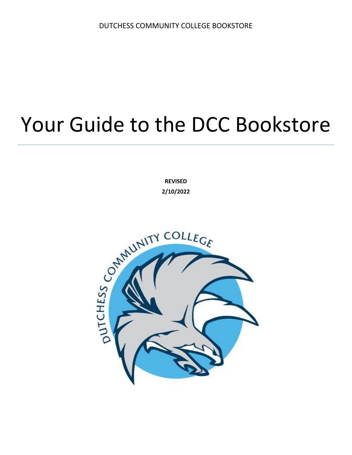# Your Guide to the DCC Bookstore

**REVISED**

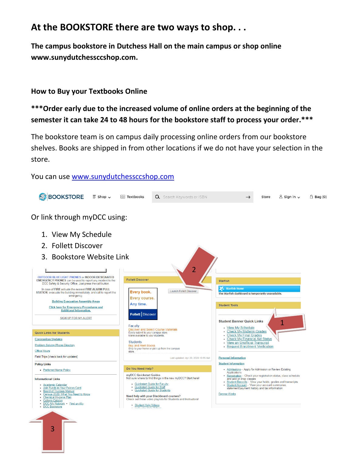### **At the BOOKSTORE there are two ways to shop. . .**

**The campus bookstore in Dutchess Hall on the main campus or shop online www.sunydutchessccshop.com.** 

#### **How to Buy your Textbooks Online**

#### **\*\*\*Order early due to the increased volume of online orders at the beginning of the semester it can take 24 to 48 hours for the bookstore staff to process your order.\*\*\***

The bookstore team is on campus daily processing online orders from our bookstore shelves. Books are shipped in from other locations if we do not have your selection in the store.

You can use [www.sunydutchessccshop.com](http://www.sunydutchessccshop.com/)

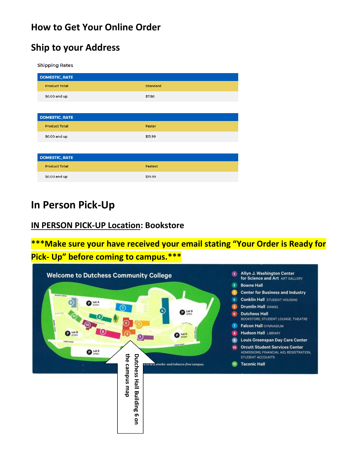### **How to Get Your Online Order**

### **Ship to your Address**

**Shipping Rates** 

| <b>DOMESTIC_RATE</b> |                 |  |
|----------------------|-----------------|--|
| <b>Product Total</b> | <b>Standard</b> |  |
| \$0.00 and up        | \$7.50          |  |
|                      |                 |  |
| <b>DOMESTIC_RATE</b> |                 |  |
| <b>Product Total</b> | Faster          |  |
| \$0.00 and up        | \$13.99         |  |
|                      |                 |  |
| <b>DOMESTIC_RATE</b> |                 |  |
| <b>Product Total</b> | Fastest         |  |
| \$0.00 and up        | \$19.99         |  |

### **In Person Pick-Up**

#### **IN PERSON PICK-UP Location: Bookstore**

**\*\*\*Make sure your have received your email stating "Your Order is Ready for Pick- Up" before coming to campus.\*\*\***

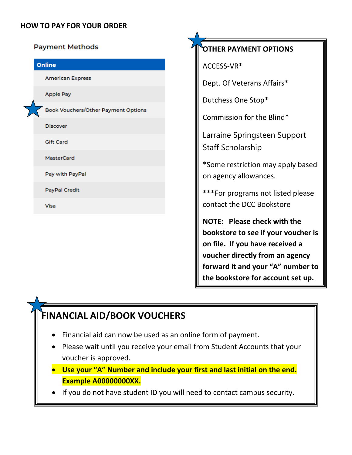#### **HOW TO PAY FOR YOUR ORDER**

| <b>Payment Methods</b>              |
|-------------------------------------|
| Online                              |
| <b>American Express</b>             |
| <b>Apple Pay</b>                    |
| Book Vouchers/Other Payment Options |
| <b>Discover</b>                     |
| <b>Gift Card</b>                    |
| MasterCard                          |
| Pay with PayPal                     |
| <b>PayPal Credit</b>                |
| Visa                                |
|                                     |

### **OTHER PAYMENT OPTIONS**

ACCESS-VR\*

Dept. Of Veterans Affairs\*

Dutchess One Stop\*

Commission for the Blind\*

Larraine Springsteen Support Staff Scholarship

\*Some restriction may apply based on agency allowances.

\*\*\*For programs not listed please contact the DCC Bookstore

**NOTE: Please check with the bookstore to see if your voucher is on file. If you have received a voucher directly from an agency forward it and your "A" number to the bookstore for account set up.** 

### **FINANCIAL AID/BOOK VOUCHERS**

- Financial aid can now be used as an online form of payment.
- Please wait until you receive your email from Student Accounts that your voucher is approved.
- **Use your "A" Number and include your first and last initial on the end. Example A00000000XX.**
- If you do not have student ID you will need to contact campus security.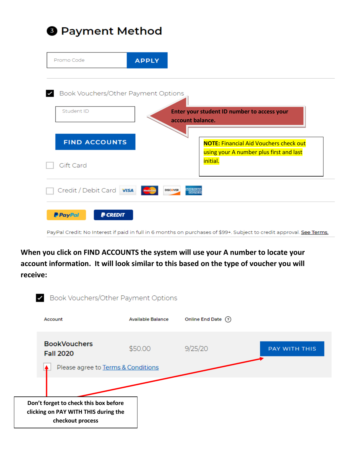## **O** Payment Method

|                          | <b>APPLY</b>                        |                                                                                          |
|--------------------------|-------------------------------------|------------------------------------------------------------------------------------------|
|                          | Book Vouchers/Other Payment Options |                                                                                          |
| Student ID               |                                     | Enter your student ID number to access your<br>account balance.                          |
|                          |                                     |                                                                                          |
| <b>FIND ACCOUNTS</b>     |                                     | <b>NOTE: Financial Aid Vouchers check out</b><br>using your A number plus first and last |
| Gift Card                |                                     | initial.                                                                                 |
| Credit / Debit Card VISA | <b>DISCOVER</b>                     | MERICAN<br><b>EXPRES</b>                                                                 |

PayPal Credit: No Interest if paid in full in 6 months on purchases of \$99+. Subject to credit approval. See Terms.

**When you click on FIND ACCOUNTS the system will use your A number to locate your account information. It will look similar to this based on the type of voucher you will receive:** 

| Book Vouchers/Other Payment Options                                                               |                          |                     |               |  |  |
|---------------------------------------------------------------------------------------------------|--------------------------|---------------------|---------------|--|--|
| Account                                                                                           | <b>Available Balance</b> | Online End Date (?) |               |  |  |
| <b>BookVouchers</b><br><b>Fall 2020</b>                                                           | \$50.00                  | 9/25/20             | PAY WITH THIS |  |  |
| Please agree to Terms & Conditions                                                                |                          |                     |               |  |  |
|                                                                                                   |                          |                     |               |  |  |
| Don't forget to check this box before<br>clicking on PAY WITH THIS during the<br>checkout process |                          |                     |               |  |  |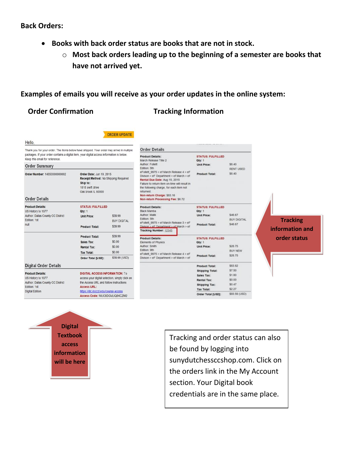#### **Back Orders:**

- **Books with back order status are books that are not in stock.** 
	- o **Most back orders leading up to the beginning of a semester are books that have not arrived yet.**

#### **Examples of emails you will receive as your order updates in the online system:**

ORDER UPDATE

#### **Order Confirmation Tracking Information**

Thank you for your order. The items below have shipped. Your order may arrive in multiple packages. If your order contains a digital item, your digital access information is below Keep this email for reference.

| <b>Order Summary</b>                                      |                                                                                                                        |                               |  |
|-----------------------------------------------------------|------------------------------------------------------------------------------------------------------------------------|-------------------------------|--|
| Order Number: 14850000000002                              | Order Date: Jun 19, 2015<br>Receipt Method: No Shipping Required<br>Ship to:<br>1818 swift drive<br>Oak brook IL 60000 |                               |  |
| <b>Order Details</b>                                      |                                                                                                                        |                               |  |
| <b>Product Details:</b><br>US History to 1877             | <b>STATUS: FULFILLED</b><br>Qty: 1                                                                                     |                               |  |
| Author: Dallas County CC District<br>Edition: 1st<br>null | <b>Unit Price:</b>                                                                                                     | \$39.99<br><b>BUY DIGITAL</b> |  |
|                                                           | <b>Product Total:</b>                                                                                                  | \$39.99                       |  |
|                                                           | <b>Product Total:</b>                                                                                                  | \$39.99                       |  |
|                                                           | Sales Tax:                                                                                                             | \$0.00                        |  |
|                                                           | Rental Tax:                                                                                                            | \$0.00                        |  |
|                                                           | <b>Tax Total:</b>                                                                                                      | \$0.00                        |  |
|                                                           | Order Total [USD]:                                                                                                     | \$39.99 (USD)                 |  |
| <b>Digital Order Details</b>                              |                                                                                                                        |                               |  |
| <b>Product Details:</b>                                   | <b>DIGITAL ACCESS INFORMATION: To</b>                                                                                  |                               |  |
| US History to 1877                                        | access your digital selection, simply click on                                                                         |                               |  |

### US History to 1877

Edition: 1st

**Digital Edition** 

Author: Dallas County CC District the Access URL and follow instructions Access URL: https://dlc.dcccd.edu/course-access Access Code: WUC8DGVLIQ6KCZM2



| Order Details                                                                          |                                    |                  |
|----------------------------------------------------------------------------------------|------------------------------------|------------------|
| roduct Details:<br>Aarch Release Title 2                                               | <b>STATUS: FULFILLED</b><br>Qty: 1 |                  |
| <b>Uffor: Follett</b><br>dition: 5th                                                   | Unit Price:                        | \$8.40           |
| Follett 9975 > ef March Release 4 > eF                                                 |                                    | <b>RENT USED</b> |
| Wison > eF Department > ef March > ef                                                  | Product Total:                     | \$8.40           |
| tental Due Date: Aug 15, 2015                                                          |                                    |                  |
| ailure to return item on-time will result in<br>he following charge, for each item not |                                    |                  |
| eturned.                                                                               |                                    |                  |
| lon-return Charge: \$83.16                                                             |                                    |                  |
| lon-return Processing Fee: \$6.72                                                      |                                    |                  |
| roduct Details:                                                                        | <b>STATUS: FULFILLED</b>           |                  |
| <b>Ilack Mamba</b>                                                                     | Qty: 1                             |                  |
| uthor: Malik<br>dition: 5th                                                            | Unit Price:                        | \$46.67          |
| Follett 9975 > ef March Release 3 > eF                                                 |                                    | BUY DIGITAL      |
| Wison > eF Department > ef March > ef<br>fracking Number: 12345                        | <b>Product Total:</b>              | \$46.67          |
| roduct Details:                                                                        | <b>STATUS: FULFILLED</b>           |                  |
| <b>Bements of Physics</b>                                                              | Otv: 1                             |                  |
| uthor: Smith                                                                           | Unit Price:                        | \$28.75          |
| dition: 9th                                                                            |                                    | <b>BUY NEW</b>   |
| Follett 9975 > ef March Release 4 > eF<br>Wison > eF Department > ef March > ef        | <b>Product Total:</b>              | \$28.75          |
|                                                                                        | <b>Product Total:</b>              | \$83.82          |
|                                                                                        | <b>Shipping Total:</b>             | \$7.50           |
|                                                                                        | Sales Tax:                         | \$1.80           |
|                                                                                        | Rental Tax:                        | \$0.00           |
|                                                                                        | Shipping Tax:                      | \$0.47           |
|                                                                                        | <b>Tax Total:</b>                  | \$2.27           |
|                                                                                        | Order Total [USD]:                 | \$93.59 (USD)    |
|                                                                                        |                                    |                  |

#### **Tracking information and order status**

Tracking and order status can also be found by logging into sunydutchessccshop.com. Click on the orders link in the My Account section. Your Digital book credentials are in the same place.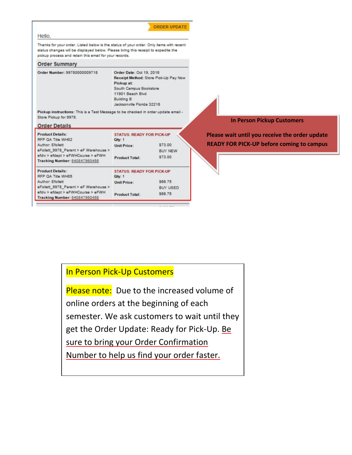|                                                                                                                                                                                                                                        |                                                                                                                                         | <b>ORDER UPDATE</b>                   |                                                                                                    |
|----------------------------------------------------------------------------------------------------------------------------------------------------------------------------------------------------------------------------------------|-----------------------------------------------------------------------------------------------------------------------------------------|---------------------------------------|----------------------------------------------------------------------------------------------------|
| Hello.                                                                                                                                                                                                                                 |                                                                                                                                         |                                       |                                                                                                    |
| Thanks for your order. Listed below is the status of your order. Only items with recent<br>status changes will be displayed below. Please bring this receipt to expedite the<br>pickup process and retain this email for your records. |                                                                                                                                         |                                       |                                                                                                    |
| <b>Order Summary</b>                                                                                                                                                                                                                   |                                                                                                                                         |                                       |                                                                                                    |
| Order Number: 99780000009718                                                                                                                                                                                                           | Order Date: Oct 19, 2016<br>Pickup at:<br>South Campus Bookstore<br>11901 Beach Blvd<br><b>Building B</b><br>Jacksonville Florida 32216 | Receipt Method: Store Pick-Up Pay Now |                                                                                                    |
| Pickup instructions: This is a Test Message to be checked in order update email -<br>Store Pickup for 9978.<br><b>Order Details</b>                                                                                                    |                                                                                                                                         |                                       | <b>In Person Pickup Customers</b>                                                                  |
| <b>Product Details:</b><br>RFP QA Title WH02<br>Author: Efollett<br>eFollett_9978_Parent > eF Warehouse >                                                                                                                              | <b>STATUS: READY FOR PICK-UP</b><br>Qty: 1<br><b>Unit Price:</b>                                                                        | \$73.00<br><b>BUY NEW</b>             | Please wait until you receive the order update<br><b>READY FOR PICK-UP before coming to campus</b> |
| efdiv > efdept > eFWHCourse > eFWH<br>Tracking Number: 640847960456                                                                                                                                                                    | <b>Product Total:</b>                                                                                                                   | \$73.00                               |                                                                                                    |
| <b>Product Details:</b><br>RFP OA Title WH05                                                                                                                                                                                           | <b>STATUS: READY FOR PICK-UP</b><br>Qty: 1                                                                                              |                                       |                                                                                                    |
| Author: Efoliett                                                                                                                                                                                                                       | <b>Unit Price:</b>                                                                                                                      | \$66.75                               |                                                                                                    |
| eFollett 9978 Parent > eF Warehouse ><br>efdiv > efdept > eFWHCourse > eFWH<br><b>Tracking Number: 640847960456</b>                                                                                                                    | <b>Product Total:</b>                                                                                                                   | <b>BUY USED</b><br>\$66.75            |                                                                                                    |

### In Person Pick-Up Customers

Please note: Due to the increased volume of online orders at the beginning of each semester. We ask customers to wait until they get the Order Update: Ready for Pick-Up. Be sure to bring your Order Confirmation Number to help us find your order faster.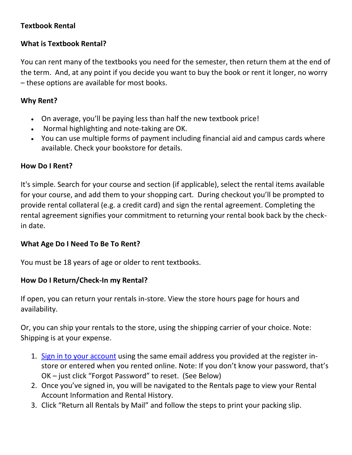#### **Textbook Rental**

#### **What is Textbook Rental?**

You can rent many of the textbooks you need for the semester, then return them at the end of the term. And, at any point if you decide you want to buy the book or rent it longer, no worry – these options are available for most books.

#### **Why Rent?**

- On average, you'll be paying less than half the new textbook price!
- Normal highlighting and note-taking are OK.
- You can use multiple forms of payment including financial aid and campus cards where available. Check your bookstore for details.

#### **How Do I Rent?**

It's simple. Search for your course and section (if applicable), select the rental items available for your course, and add them to your shopping cart. During checkout you'll be prompted to provide rental collateral (e.g. a credit card) and sign the rental agreement. Completing the rental agreement signifies your commitment to returning your rental book back by the checkin date.

#### **What Age Do I Need To Be To Rent?**

You must be 18 years of age or older to rent textbooks.

#### **How Do I Return/Check-In my Rental?**

If open, you can return your rentals in-store. View the store hours page for hours and availability.

Or, you can ship your rentals to the store, using the shipping carrier of your choice. Note: Shipping is at your expense.

- 1. [Sign in to your account](https://www.bkstr.com/dutchessccstore/myaccount/rentals) using the same email address you provided at the register instore or entered when you rented online. Note: If you don't know your password, that's OK – just click "Forgot Password" to reset. (See Below)
- 2. Once you've signed in, you will be navigated to the Rentals page to view your Rental Account Information and Rental History.
- 3. Click "Return all Rentals by Mail" and follow the steps to print your packing slip.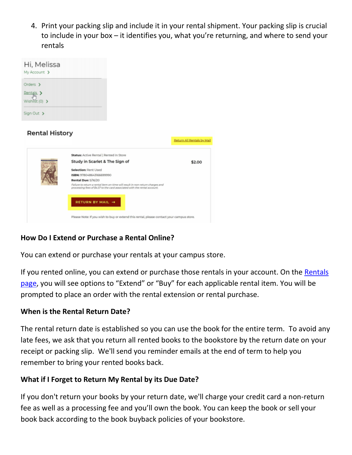4. Print your packing slip and include it in your rental shipment. Your packing slip is crucial to include in your box – it identifies you, what you're returning, and where to send your rentals

| Hi, Melissa<br>My Account >             |                                                                                                                                                                                                                                                                                                                           |                           |
|-----------------------------------------|---------------------------------------------------------------------------------------------------------------------------------------------------------------------------------------------------------------------------------------------------------------------------------------------------------------------------|---------------------------|
| Orders ><br>Rentals ><br>Wishlist (0) > |                                                                                                                                                                                                                                                                                                                           |                           |
| Sign Out >                              |                                                                                                                                                                                                                                                                                                                           |                           |
| <b>Rental History</b>                   |                                                                                                                                                                                                                                                                                                                           | Return All Rentals by Mai |
|                                         | Status: Active Rental   Rented In Store<br>Study in Scarlet & The Sign of<br><b>Selection: Rent Used</b><br>ISBN: 978048643166699990<br>Rental Due: 5/16/20<br>Failure to return a rental item on-time will result in non-return charges and<br>processing fees of \$4.57 to the card associated with the rental account. | \$2.00                    |
|                                         | <b>RETURN BY MAIL →</b><br>Please Note: If you wish to buy or extend this rental, please contact your campus store.                                                                                                                                                                                                       |                           |

#### **How Do I Extend or Purchase a Rental Online?**

You can extend or purchase your rentals at your campus store.

If you rented online, you can extend or purchase those rentals in your account. On the [Rentals](https://www.bkstr.com/dutchessccstore/myaccount/rentals)  [page](https://www.bkstr.com/dutchessccstore/myaccount/rentals), you will see options to "Extend" or "Buy" for each applicable rental item. You will be prompted to place an order with the rental extension or rental purchase.

#### **When is the Rental Return Date?**

The rental return date is established so you can use the book for the entire term. To avoid any late fees, we ask that you return all rented books to the bookstore by the return date on your receipt or packing slip. We'll send you reminder emails at the end of term to help you remember to bring your rented books back.

#### **What if I Forget to Return My Rental by its Due Date?**

If you don't return your books by your return date, we'll charge your credit card a non-return fee as well as a processing fee and you'll own the book. You can keep the book or sell your book back according to the book buyback policies of your bookstore.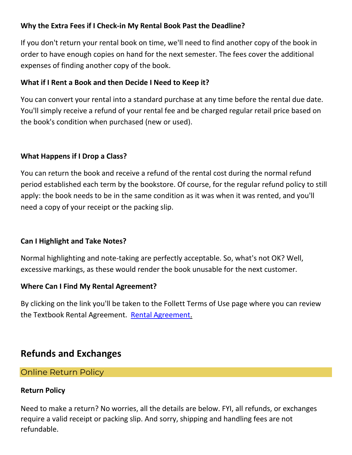#### **Why the Extra Fees if I Check-in My Rental Book Past the Deadline?**

If you don't return your rental book on time, we'll need to find another copy of the book in order to have enough copies on hand for the next semester. The fees cover the additional expenses of finding another copy of the book.

#### **What if I Rent a Book and then Decide I Need to Keep it?**

You can convert your rental into a standard purchase at any time before the rental due date. You'll simply receive a refund of your rental fee and be charged regular retail price based on the book's condition when purchased (new or used).

#### **What Happens if I Drop a Class?**

You can return the book and receive a refund of the rental cost during the normal refund period established each term by the bookstore. Of course, for the regular refund policy to still apply: the book needs to be in the same condition as it was when it was rented, and you'll need a copy of your receipt or the packing slip.

#### **Can I Highlight and Take Notes?**

Normal highlighting and note-taking are perfectly acceptable. So, what's not OK? Well, excessive markings, as these would render the book unusable for the next customer.

#### **Where Can I Find My Rental Agreement?**

By clicking on the link you'll be taken to the Follett Terms of Use page where you can review the Textbook [Rental Agreement.](https://www.follett.com/policies/text-rental/?cm_sp=Static_Help_Mobile_474406) Rental Agreement.

### **Refunds and Exchanges**

#### Online Return Policy

#### **Return Policy**

Need to make a return? No worries, all the details are below. FYI, all refunds, or exchanges require a valid receipt or packing slip. And sorry, shipping and handling fees are not refundable.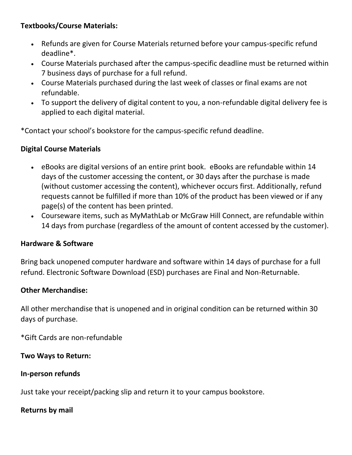#### **Textbooks/Course Materials:**

- Refunds are given for Course Materials returned before your campus-specific refund deadline\*.
- Course Materials purchased after the campus-specific deadline must be returned within 7 business days of purchase for a full refund.
- Course Materials purchased during the last week of classes or final exams are not refundable.
- To support the delivery of digital content to you, a non-refundable digital delivery fee is applied to each digital material.

\*Contact your school's bookstore for the campus-specific refund deadline.

#### **Digital Course Materials**

- eBooks are digital versions of an entire print book. eBooks are refundable within 14 days of the customer accessing the content, or 30 days after the purchase is made (without customer accessing the content), whichever occurs first. Additionally, refund requests cannot be fulfilled if more than 10% of the product has been viewed or if any page(s) of the content has been printed.
- Courseware items, such as MyMathLab or McGraw Hill Connect, are refundable within 14 days from purchase (regardless of the amount of content accessed by the customer).

#### **Hardware & Software**

Bring back unopened computer hardware and software within 14 days of purchase for a full refund. Electronic Software Download (ESD) purchases are Final and Non-Returnable.

#### **Other Merchandise:**

All other merchandise that is unopened and in original condition can be returned within 30 days of purchase.

\*Gift Cards are non-refundable

**Two Ways to Return:**

**In-person refunds**

Just take your receipt/packing slip and return it to your campus bookstore.

#### **Returns by mail**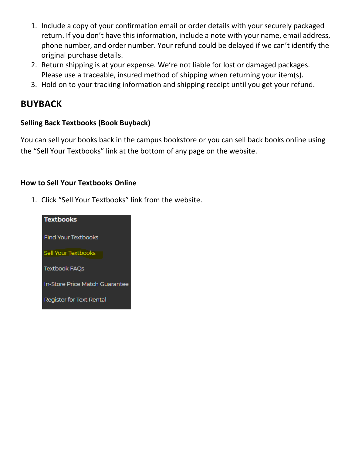- 1. Include a copy of your confirmation email or order details with your securely packaged return. If you don't have this information, include a note with your name, email address, phone number, and order number. Your refund could be delayed if we can't identify the original purchase details.
- 2. Return shipping is at your expense. We're not liable for lost or damaged packages. Please use a traceable, insured method of shipping when returning your item(s).
- 3. Hold on to your tracking information and shipping receipt until you get your refund.

### **BUYBACK**

#### **Selling Back Textbooks (Book Buyback)**

You can sell your books back in the campus bookstore or you can sell back books online using the "Sell Your Textbooks" link at the bottom of any page on the website.

#### **How to Sell Your Textbooks Online**

1. Click "Sell Your Textbooks" link from the website.